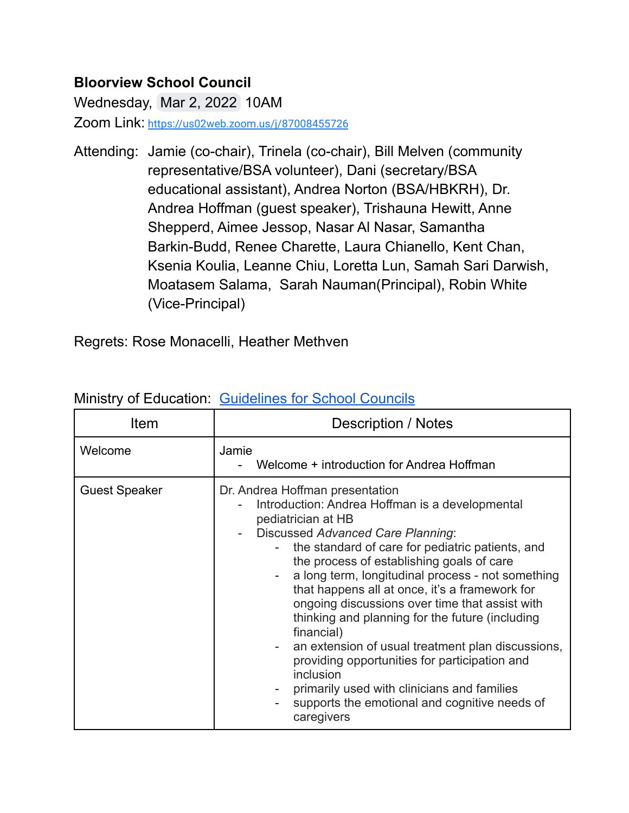## **Bloorview School Council**

Wednesday, Mar 2, 2022 10AM

Zoom Link: <https://us02web.zoom.us/j/87008455726>

Attending: Jamie (co-chair), Trinela (co-chair), Bill Melven (community representative/BSA volunteer), Dani (secretary/BSA educational assistant), Andrea Norton (BSA/HBKRH), Dr. Andrea Hoffman (guest speaker), Trishauna Hewitt, Anne Shepperd, Aimee Jessop, Nasar Al Nasar, Samantha Barkin-Budd, Renee Charette, Laura Chianello, Kent Chan, Ksenia Koulia, Leanne Chiu, Loretta Lun, Samah Sari Darwish, Moatasem Salama, Sarah Nauman(Principal), Robin White (Vice-Principal)

Regrets: Rose Monacelli, Heather Methven

| Item                 | <b>Description / Notes</b>                                                                                                                                                                                                                                                                                                                                                                                                                                                                                                                                                                                                                                                                                      |
|----------------------|-----------------------------------------------------------------------------------------------------------------------------------------------------------------------------------------------------------------------------------------------------------------------------------------------------------------------------------------------------------------------------------------------------------------------------------------------------------------------------------------------------------------------------------------------------------------------------------------------------------------------------------------------------------------------------------------------------------------|
| Welcome              | Jamie<br>Welcome + introduction for Andrea Hoffman                                                                                                                                                                                                                                                                                                                                                                                                                                                                                                                                                                                                                                                              |
| <b>Guest Speaker</b> | Dr. Andrea Hoffman presentation<br>Introduction: Andrea Hoffman is a developmental<br>pediatrician at HB<br>Discussed Advanced Care Planning:<br>the standard of care for pediatric patients, and<br>the process of establishing goals of care<br>a long term, longitudinal process - not something<br>that happens all at once, it's a framework for<br>ongoing discussions over time that assist with<br>thinking and planning for the future (including<br>financial)<br>an extension of usual treatment plan discussions,<br>Ξ.<br>providing opportunities for participation and<br>inclusion<br>primarily used with clinicians and families<br>supports the emotional and cognitive needs of<br>caregivers |

## Ministry of Education: [Guidelines](http://www.edu.gov.on.ca/eng/general/elemsec/council/guide.html) for School Councils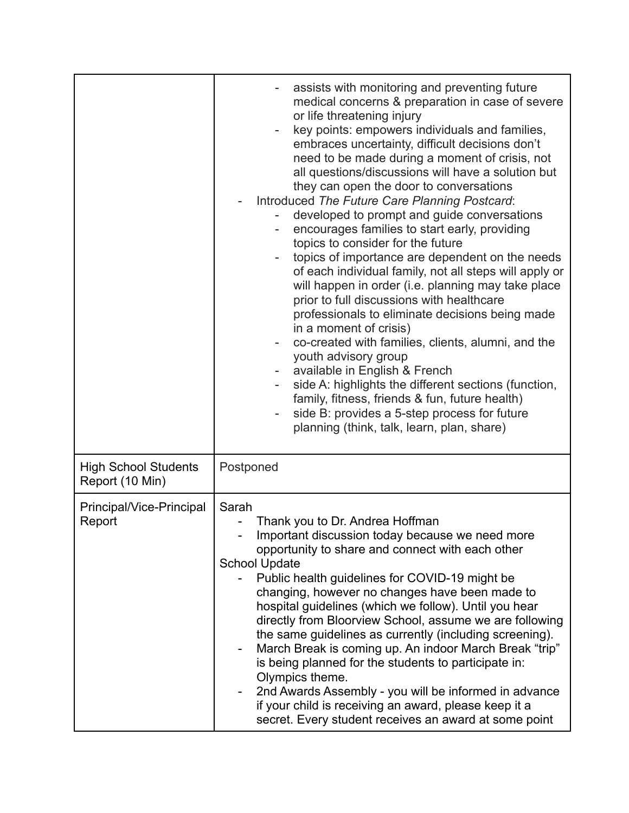|                                                | assists with monitoring and preventing future<br>medical concerns & preparation in case of severe<br>or life threatening injury<br>key points: empowers individuals and families,<br>$\overline{\phantom{0}}$<br>embraces uncertainty, difficult decisions don't<br>need to be made during a moment of crisis, not<br>all questions/discussions will have a solution but<br>they can open the door to conversations<br>Introduced The Future Care Planning Postcard:<br>developed to prompt and guide conversations<br>encourages families to start early, providing<br>-<br>topics to consider for the future<br>topics of importance are dependent on the needs<br>of each individual family, not all steps will apply or<br>will happen in order (i.e. planning may take place<br>prior to full discussions with healthcare<br>professionals to eliminate decisions being made<br>in a moment of crisis)<br>co-created with families, clients, alumni, and the<br>youth advisory group<br>available in English & French<br>side A: highlights the different sections (function,<br>family, fitness, friends & fun, future health)<br>side B: provides a 5-step process for future<br>planning (think, talk, learn, plan, share) |
|------------------------------------------------|------------------------------------------------------------------------------------------------------------------------------------------------------------------------------------------------------------------------------------------------------------------------------------------------------------------------------------------------------------------------------------------------------------------------------------------------------------------------------------------------------------------------------------------------------------------------------------------------------------------------------------------------------------------------------------------------------------------------------------------------------------------------------------------------------------------------------------------------------------------------------------------------------------------------------------------------------------------------------------------------------------------------------------------------------------------------------------------------------------------------------------------------------------------------------------------------------------------------------------|
| <b>High School Students</b><br>Report (10 Min) | Postponed                                                                                                                                                                                                                                                                                                                                                                                                                                                                                                                                                                                                                                                                                                                                                                                                                                                                                                                                                                                                                                                                                                                                                                                                                          |
| Principal/Vice-Principal<br>Report             | Sarah<br>Thank you to Dr. Andrea Hoffman<br>Important discussion today because we need more<br>opportunity to share and connect with each other<br><b>School Update</b><br>Public health guidelines for COVID-19 might be<br>changing, however no changes have been made to<br>hospital guidelines (which we follow). Until you hear<br>directly from Bloorview School, assume we are following<br>the same guidelines as currently (including screening).<br>March Break is coming up. An indoor March Break "trip"<br>$\qquad \qquad -$<br>is being planned for the students to participate in:<br>Olympics theme.<br>2nd Awards Assembly - you will be informed in advance<br>if your child is receiving an award, please keep it a<br>secret. Every student receives an award at some point                                                                                                                                                                                                                                                                                                                                                                                                                                    |